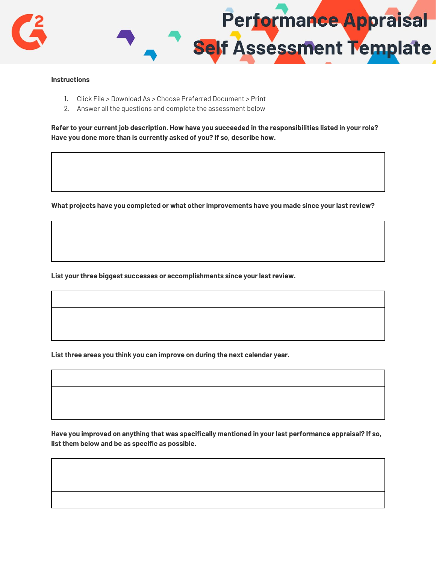

## **Instructions**

- 1. Click File > Download As > Choose Preferred Document > Print
- 2. Answer all the questions and complete the assessment below

Refer to your current job description. How have you succeeded in the responsibilities listed in your role? **Have you done more than is currently asked of you? If so, describe how.**

**What projects have you completed or what other improvements have you made since your last review?**

**List your three biggest successes or accomplishments since your last review.**

**List three areas you think you can improve on during the next calendar year.**

**Have you improved on anything that was specifically mentioned in your last performance appraisal? If so, list them below and be as specific as possible.**